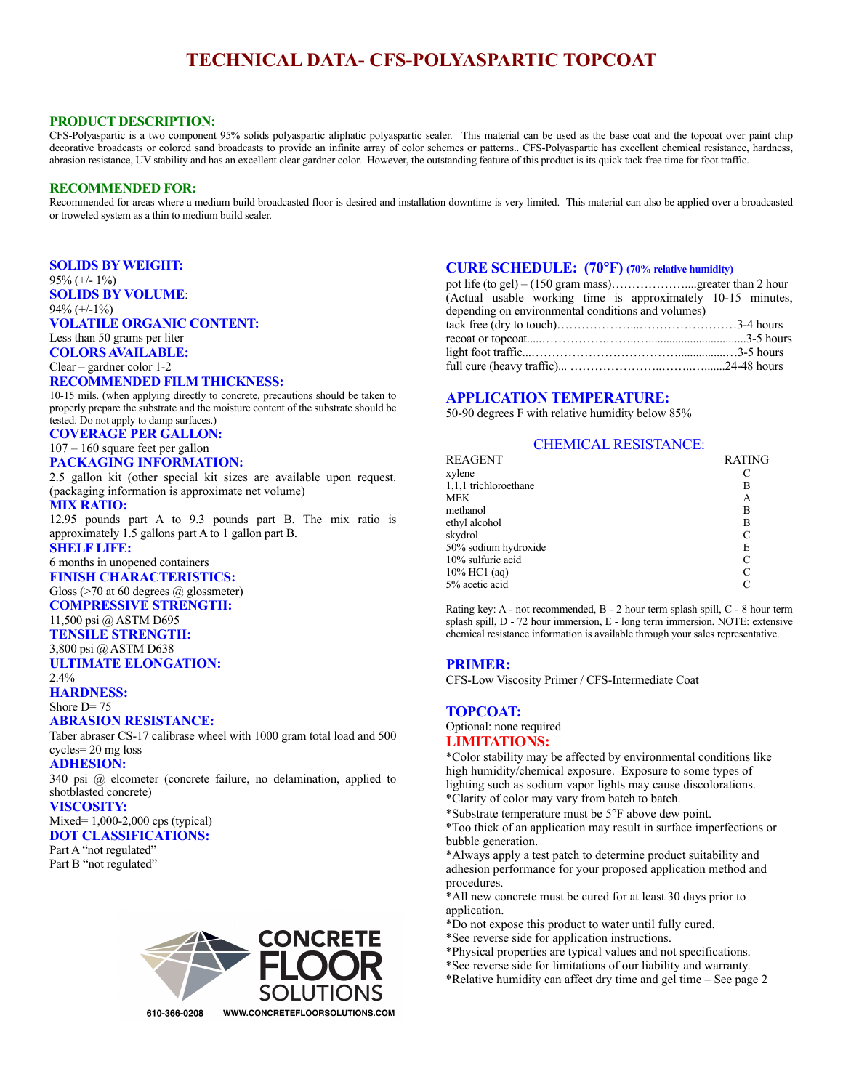# **TECHNICAL DATA- CFS-POLYASPARTIC TOPCOAT**

## **PRODUCT DESCRIPTION:**

CFS-Polyaspartic is a two component 95% solids polyaspartic aliphatic polyaspartic sealer. This material can be used as the base coat and the topcoat over paint chip decorative broadcasts or colored sand broadcasts to provide an infinite array of color schemes or patterns.. CFS-Polyaspartic has excellent chemical resistance, hardness, abrasion resistance, UV stability and has an excellent clear gardner color. However, the outstanding feature of this product is its quick tack free time for foot traffic.

### **RECOMMENDED FOR:**

Recommended for areas where a medium build broadcasted floor is desired and installation downtime is very limited. This material can also be applied over a broadcasted or troweled system as a thin to medium build sealer.

#### **SOLIDS BY WEIGHT:**

95% (+/- 1%) **SOLIDS BY VOLUME**: 94% (+/-1%)

### **VOLATILE ORGANIC CONTENT:**

Less than 50 grams per liter **COLORS AVAILABLE:**

Clear – gardner color 1-2

### **RECOMMENDED FILM THICKNESS:**

10-15 mils. (when applying directly to concrete, precautions should be taken to properly prepare the substrate and the moisture content of the substrate should be tested. Do not apply to damp surfaces.)

**COVERAGE PER GALLON:**

### 107 – 160 square feet per gallon **PACKAGING INFORMATION:**

2.5 gallon kit (other special kit sizes are available upon request. (packaging information is approximate net volume)

### **MIX RATIO:**

12.95 pounds part A to 9.3 pounds part B. The mix ratio is approximately 1.5 gallons part A to 1 gallon part B.

# **SHELF LIFE:**

#### 6 months in unopened containers **FINISH CHARACTERISTICS:**

Gloss (>70 at 60 degrees @ glossmeter)

# **COMPRESSIVE STRENGTH:**

11,500 psi @ ASTM D695

# **TENSILE STRENGTH:**

3,800 psi @ ASTM D638 **ULTIMATE ELONGATION:**

## $2.4%$

**HARDNESS:**

#### Shore  $D=75$

## **ABRASION RESISTANCE:**

Taber abraser CS-17 calibrase wheel with 1000 gram total load and 500 cycles= 20 mg loss

#### **ADHESION:**

340 psi @ elcometer (concrete failure, no delamination, applied to shotblasted concrete)

#### **VISCOSITY:**

# Mixed= 1,000-2,000 cps (typical)

**DOT CLASSIFICATIONS:**

```
Part A "not regulated"
Part B "not regulated"
```


## **CURE SCHEDULE: (70°F) (70% relative humidity)**

| (Actual usable working time is approximately 10-15 minutes, |  |  |
|-------------------------------------------------------------|--|--|
| depending on environmental conditions and volumes)          |  |  |
|                                                             |  |  |
|                                                             |  |  |
|                                                             |  |  |
|                                                             |  |  |

# **APPLICATION TEMPERATURE:**

50-90 degrees F with relative humidity below 85%

## CHEMICAL RESISTANCE:

| <b>REAGENT</b>        | <b>RATING</b> |
|-----------------------|---------------|
| xylene                |               |
| 1,1,1 trichloroethane | в             |
| <b>MEK</b>            | А             |
| methanol              | в             |
| ethyl alcohol         | в             |
| skydrol               | C             |
| 50% sodium hydroxide  | E             |
| 10% sulfuric acid     | C             |
| $10\%$ HC1 (aq)       | C             |
| 5% acetic acid        |               |

Rating key: A - not recommended, B - 2 hour term splash spill, C - 8 hour term splash spill, D - 72 hour immersion, E - long term immersion. NOTE: extensive chemical resistance information is available through your sales representative.

# **PRIMER:**

CFS-Low Viscosity Primer / CFS-Intermediate Coat

# **TOPCOAT:**

### Optional: none required **LIMITATIONS:**

\*Color stability may be affected by environmental conditions like high humidity/chemical exposure. Exposure to some types of lighting such as sodium vapor lights may cause discolorations. \*Clarity of color may vary from batch to batch.

\*Substrate temperature must be 5°F above dew point.

\*Too thick of an application may result in surface imperfections or bubble generation.

\*Always apply a test patch to determine product suitability and adhesion performance for your proposed application method and procedures.

- \*All new concrete must be cured for at least 30 days prior to application.
- \*Do not expose this product to water until fully cured.
- \*See reverse side for application instructions.
- \*Physical properties are typical values and not specifications.
- \*See reverse side for limitations of our liability and warranty.
- \*Relative humidity can affect dry time and gel time See page 2